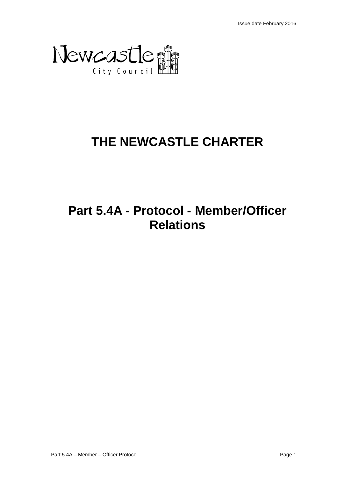

# **THE NEWCASTLE CHARTER**

# **Part 5.4A - Protocol - Member/Officer Relations**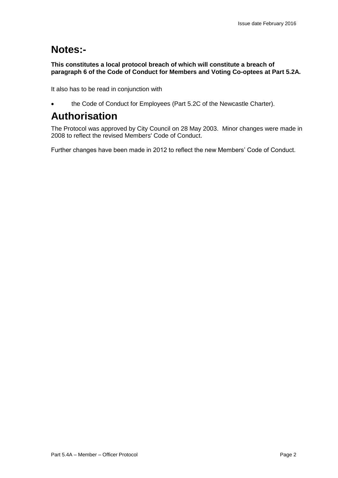## **Notes:-**

## **This constitutes a local protocol breach of which will constitute a breach of paragraph 6 of the Code of Conduct for Members and Voting Co-optees at Part 5.2A.**

It also has to be read in conjunction with

the Code of Conduct for Employees (Part 5.2C of the Newcastle Charter).

## **Authorisation**

The Protocol was approved by City Council on 28 May 2003. Minor changes were made in 2008 to reflect the revised Members' Code of Conduct.

Further changes have been made in 2012 to reflect the new Members' Code of Conduct.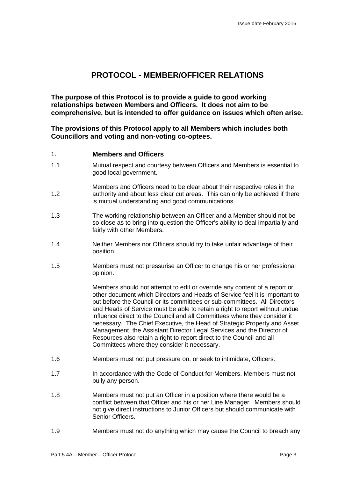## **PROTOCOL - MEMBER/OFFICER RELATIONS**

**The purpose of this Protocol is to provide a guide to good working relationships between Members and Officers. It does not aim to be comprehensive, but is intended to offer guidance on issues which often arise.**

**The provisions of this Protocol apply to all Members which includes both Councillors and voting and non-voting co-optees.**

## 1. **Members and Officers**

- 1.1 Mutual respect and courtesy between Officers and Members is essential to good local government.
- 1.2 Members and Officers need to be clear about their respective roles in the authority and about less clear cut areas. This can only be achieved if there is mutual understanding and good communications.
- 1.3 The working relationship between an Officer and a Member should not be so close as to bring into question the Officer's ability to deal impartially and fairly with other Members.
- 1.4 Neither Members nor Officers should try to take unfair advantage of their position.
- 1.5 Members must not pressurise an Officer to change his or her professional opinion.

Members should not attempt to edit or override any content of a report or other document which Directors and Heads of Service feel it is important to put before the Council or its committees or sub-committees. All Directors and Heads of Service must be able to retain a right to report without undue influence direct to the Council and all Committees where they consider it necessary. The Chief Executive, the Head of Strategic Property and Asset Management, the Assistant Director Legal Services and the Director of Resources also retain a right to report direct to the Council and all Committees where they consider it necessary.

- 1.6 Members must not put pressure on, or seek to intimidate, Officers.
- 1.7 In accordance with the Code of Conduct for Members, Members must not bully any person.
- 1.8 Members must not put an Officer in a position where there would be a conflict between that Officer and his or her Line Manager. Members should not give direct instructions to Junior Officers but should communicate with Senior Officers.
- 1.9 Members must not do anything which may cause the Council to breach any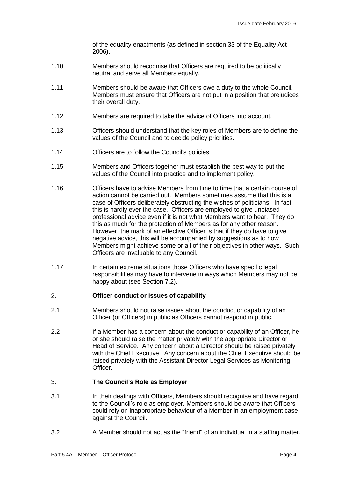of the equality enactments (as defined in section 33 of the Equality Act 2006).

- 1.10 Members should recognise that Officers are required to be politically neutral and serve all Members equally.
- 1.11 Members should be aware that Officers owe a duty to the whole Council. Members must ensure that Officers are not put in a position that prejudices their overall duty.
- 1.12 Members are required to take the advice of Officers into account.
- 1.13 Officers should understand that the key roles of Members are to define the values of the Council and to decide policy priorities.
- 1.14 Officers are to follow the Council's policies.
- 1.15 Members and Officers together must establish the best way to put the values of the Council into practice and to implement policy.
- 1.16 Officers have to advise Members from time to time that a certain course of action cannot be carried out. Members sometimes assume that this is a case of Officers deliberately obstructing the wishes of politicians. In fact this is hardly ever the case. Officers are employed to give unbiased professional advice even if it is not what Members want to hear. They do this as much for the protection of Members as for any other reason. However, the mark of an effective Officer is that if they do have to give negative advice, this will be accompanied by suggestions as to how Members might achieve some or all of their objectives in other ways. Such Officers are invaluable to any Council.
- 1.17 In certain extreme situations those Officers who have specific legal responsibilities may have to intervene in ways which Members may not be happy about (see Section 7.2).

#### 2. **Officer conduct or issues of capability**

- 2.1 Members should not raise issues about the conduct or capability of an Officer (or Officers) in public as Officers cannot respond in public.
- 2.2 If a Member has a concern about the conduct or capability of an Officer, he or she should raise the matter privately with the appropriate Director or Head of Service. Any concern about a Director should be raised privately with the Chief Executive. Any concern about the Chief Executive should be raised privately with the Assistant Director Legal Services as Monitoring Officer.

#### 3. **The Council's Role as Employer**

- 3.1 In their dealings with Officers, Members should recognise and have regard to the Council's role as employer. Members should be aware that Officers could rely on inappropriate behaviour of a Member in an employment case against the Council.
- 3.2 A Member should not act as the "friend" of an individual in a staffing matter.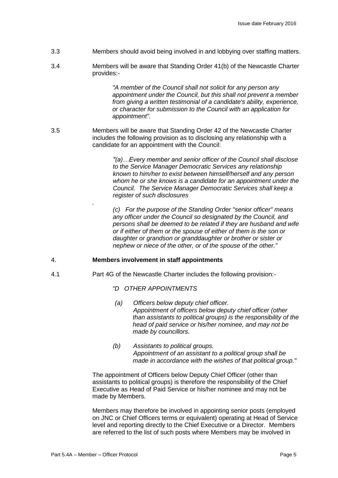- 3.3 Members should avoid being involved in and lobbying over staffing matters.
- 3.4 Members will be aware that Standing Order 41(b) of the Newcastle Charter provides:-

*"A member of the Council shall not solicit for any person any appointment under the Council, but this shall not prevent a member from giving a written testimonial of a candidate's ability, experience, or character for submission to the Council with an application for appointment".*

3.5 Members will be aware that Standing Order 42 of the Newcastle Charter includes the following provision as to disclosing any relationship with a candidate for an appointment with the Council:

> *"(a)…Every member and senior officer of the Council shall disclose to the Service Manager Democratic Services any relationship known to him/her to exist between himself/herself and any person whom he or she knows is a candidate for an appointment under the Council. The Service Manager Democratic Services shall keep a register of such disclosures*

> *(c) For the purpose of the Standing Order "senior officer" means any officer under the Council so designated by the Council, and persons shall be deemed to be related if they are husband and wife or if either of them or the spouse of either of them is the son or daughter or grandson or granddaughter or brother or sister or nephew or niece of the other, or of the spouse of the other."*

#### 4. **Members involvement in staff appointments**

- 4.1 Part 4G of the Newcastle Charter includes the following provision:-
	- *"D OTHER APPOINTMENTS*
	- *(a) Officers below deputy chief officer. Appointment of officers below deputy chief officer (other than assistants to political groups) is the responsibility of the head of paid service or his/her nominee, and may not be made by councillors.*
	- *(b) Assistants to political groups. Appointment of an assistant to a political group shall be made in accordance with the wishes of that political group."*

The appointment of Officers below Deputy Chief Officer (other than assistants to political groups) is therefore the responsibility of the Chief Executive as Head of Paid Service or his/her nominee and may not be made by Members.

Members may therefore be involved in appointing senior posts (employed on JNC or Chief Officers terms or equivalent) operating at Head of Service level and reporting directly to the Chief Executive or a Director. Members are referred to the list of such posts where Members may be involved in

*.*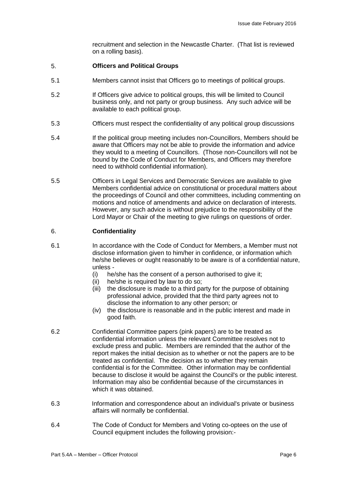recruitment and selection in the Newcastle Charter. (That list is reviewed on a rolling basis).

#### 5. **Officers and Political Groups**

- 5.1 Members cannot insist that Officers go to meetings of political groups.
- 5.2 If Officers give advice to political groups, this will be limited to Council business only, and not party or group business. Any such advice will be available to each political group.
- 5.3 Officers must respect the confidentiality of any political group discussions
- 5.4 If the political group meeting includes non-Councillors, Members should be aware that Officers may not be able to provide the information and advice they would to a meeting of Councillors. (Those non-Councillors will not be bound by the Code of Conduct for Members, and Officers may therefore need to withhold confidential information).
- 5.5 Officers in Legal Services and Democratic Services are available to give Members confidential advice on constitutional or procedural matters about the proceedings of Council and other committees, including commenting on motions and notice of amendments and advice on declaration of interests. However, any such advice is without prejudice to the responsibility of the Lord Mayor or Chair of the meeting to give rulings on questions of order.

#### 6. **Confidentiality**

- 6.1 In accordance with the Code of Conduct for Members, a Member must not disclose information given to him/her in confidence, or information which he/she believes or ought reasonably to be aware is of a confidential nature, unless -
	- (i) he/she has the consent of a person authorised to give it;
	- (ii) he/she is required by law to do so;
	- (iii) the disclosure is made to a third party for the purpose of obtaining professional advice, provided that the third party agrees not to disclose the information to any other person; or
	- (iv) the disclosure is reasonable and in the public interest and made in good faith.
- 6.2 Confidential Committee papers (pink papers) are to be treated as confidential information unless the relevant Committee resolves not to exclude press and public. Members are reminded that the author of the report makes the initial decision as to whether or not the papers are to be treated as confidential. The decision as to whether they remain confidential is for the Committee. Other information may be confidential because to disclose it would be against the Council's or the public interest. Information may also be confidential because of the circumstances in which it was obtained.
- 6.3 Information and correspondence about an individual's private or business affairs will normally be confidential.
- 6.4 The Code of Conduct for Members and Voting co-optees on the use of Council equipment includes the following provision:-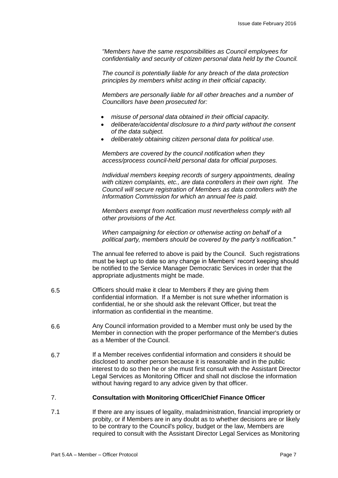*"Members have the same responsibilities as Council employees for confidentiality and security of citizen personal data held by the Council.*

*The council is potentially liable for any breach of the data protection principles by members whilst acting in their official capacity.*

*Members are personally liable for all other breaches and a number of Councillors have been prosecuted for:*

- *misuse of personal data obtained in their official capacity.*
- *deliberate/accidental disclosure to a third party without the consent of the data subject.*
- *deliberately obtaining citizen personal data for political use.*

*Members are covered by the council notification when they access/process council-held personal data for official purposes.*

*Individual members keeping records of surgery appointments, dealing with citizen complaints, etc., are data controllers in their own right. The Council will secure registration of Members as data controllers with the Information Commission for which an annual fee is paid.* 

*Members exempt from notification must nevertheless comply with all other provisions of the Act.*

*When campaigning for election or otherwise acting on behalf of a political party, members should be covered by the party's notification."* 

The annual fee referred to above is paid by the Council. Such registrations must be kept up to date so any change in Members' record keeping should be notified to the Service Manager Democratic Services in order that the appropriate adjustments might be made.

- 6.5 Officers should make it clear to Members if they are giving them confidential information. If a Member is not sure whether information is confidential, he or she should ask the relevant Officer, but treat the information as confidential in the meantime.
- 6.6 Any Council information provided to a Member must only be used by the Member in connection with the proper performance of the Member's duties as a Member of the Council.
- 6.7 If a Member receives confidential information and considers it should be disclosed to another person because it is reasonable and in the public interest to do so then he or she must first consult with the Assistant Director Legal Services as Monitoring Officer and shall not disclose the information without having regard to any advice given by that officer.

#### 7. **Consultation with Monitoring Officer/Chief Finance Officer**

7.1 If there are any issues of legality, maladministration, financial impropriety or probity, or if Members are in any doubt as to whether decisions are or likely to be contrary to the Council's policy, budget or the law, Members are required to consult with the Assistant Director Legal Services as Monitoring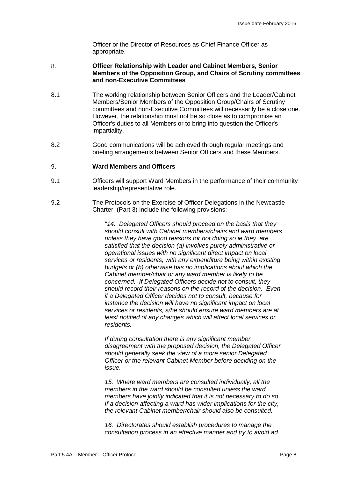Officer or the Director of Resources as Chief Finance Officer as appropriate.

#### 8. **Officer Relationship with Leader and Cabinet Members, Senior Members of the Opposition Group, and Chairs of Scrutiny committees and non-Executive Committees**

- 8.1 The working relationship between Senior Officers and the Leader/Cabinet Members/Senior Members of the Opposition Group/Chairs of Scrutiny committees and non-Executive Committees will necessarily be a close one. However, the relationship must not be so close as to compromise an Officer's duties to all Members or to bring into question the Officer's impartiality.
- 8.2 Good communications will be achieved through regular meetings and briefing arrangements between Senior Officers and these Members.

#### $\mathsf{Q}$ **Ward Members and Officers**

- 9.1 Officers will support Ward Members in the performance of their community leadership/representative role.
- 9.2 The Protocols on the Exercise of Officer Delegations in the Newcastle Charter (Part 3) include the following provisions:-

*"14. Delegated Officers should proceed on the basis that they should consult with Cabinet members/chairs and ward members unless they have good reasons for not doing so ie they are satisfied that the decision (a) involves purely administrative or operational issues with no significant direct impact on local services or residents, with any expenditure being within existing budgets or (b) otherwise has no implications about which the Cabinet member/chair or any ward member is likely to be concerned. If Delegated Officers decide not to consult, they should record their reasons on the record of the decision. Even if a Delegated Officer decides not to consult, because for instance the decision will have no significant impact on local services or residents, s/he should ensure ward members are at least notified of any changes which will affect local services or residents.* 

*If during consultation there is any significant member disagreement with the proposed decision, the Delegated Officer should generally seek the view of a more senior Delegated Officer or the relevant Cabinet Member before deciding on the issue.* 

*15. Where ward members are consulted individually, all the members in the ward should be consulted unless the ward members have jointly indicated that it is not necessary to do so. If a decision affecting a ward has wider implications for the city, the relevant Cabinet member/chair should also be consulted.* 

*16. Directorates should establish procedures to manage the consultation process in an effective manner and try to avoid ad*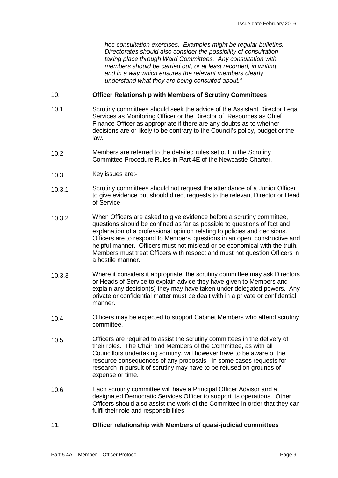*hoc consultation exercises. Examples might be regular bulletins. Directorates should also consider the possibility of consultation taking place through Ward Committees. Any consultation with members should be carried out, or at least recorded, in writing and in a way which ensures the relevant members clearly understand what they are being consulted about."*

#### 10. **Officer Relationship with Members of Scrutiny Committees**

- 10.1 Scrutiny committees should seek the advice of the Assistant Director Legal Services as Monitoring Officer or the Director of Resources as Chief Finance Officer as appropriate if there are any doubts as to whether decisions are or likely to be contrary to the Council's policy, budget or the law.
- 10.2 Members are referred to the detailed rules set out in the Scrutiny Committee Procedure Rules in Part 4E of the Newcastle Charter.
- 10.3 Key issues are:-
- 10.3.1 Scrutiny committees should not request the attendance of a Junior Officer to give evidence but should direct requests to the relevant Director or Head of Service.
- 10.3.2 When Officers are asked to give evidence before a scrutiny committee, questions should be confined as far as possible to questions of fact and explanation of a professional opinion relating to policies and decisions. Officers are to respond to Members' questions in an open, constructive and helpful manner. Officers must not mislead or be economical with the truth. Members must treat Officers with respect and must not question Officers in a hostile manner.
- 10.3.3 Where it considers it appropriate, the scrutiny committee may ask Directors or Heads of Service to explain advice they have given to Members and explain any decision(s) they may have taken under delegated powers. Any private or confidential matter must be dealt with in a private or confidential manner.
- 10.4 Officers may be expected to support Cabinet Members who attend scrutiny committee.
- 10.5 Officers are required to assist the scrutiny committees in the delivery of their roles. The Chair and Members of the Committee, as with all Councillors undertaking scrutiny, will however have to be aware of the resource consequences of any proposals. In some cases requests for research in pursuit of scrutiny may have to be refused on grounds of expense or time.
- 10.6 Each scrutiny committee will have a Principal Officer Advisor and a designated Democratic Services Officer to support its operations. Other Officers should also assist the work of the Committee in order that they can fulfil their role and responsibilities.

### 11. **Officer relationship with Members of quasi-judicial committees**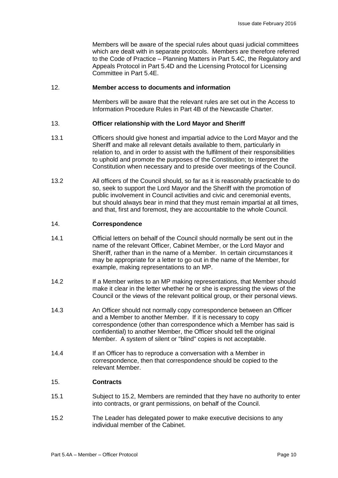Members will be aware of the special rules about quasi judicial committees which are dealt with in separate protocols. Members are therefore referred to the Code of Practice – Planning Matters in Part 5.4C, the Regulatory and Appeals Protocol in Part 5.4D and the Licensing Protocol for Licensing Committee in Part 5.4E.

### 12. **Member access to documents and information**

Members will be aware that the relevant rules are set out in the Access to Information Procedure Rules in Part 4B of the Newcastle Charter.

#### 13. **Officer relationship with the Lord Mayor and Sheriff**

- 13.1 Officers should give honest and impartial advice to the Lord Mayor and the Sheriff and make all relevant details available to them, particularly in relation to, and in order to assist with the fulfilment of their responsibilities to uphold and promote the purposes of the Constitution; to interpret the Constitution when necessary and to preside over meetings of the Council.
- 13.2 All officers of the Council should, so far as it is reasonably practicable to do so, seek to support the Lord Mayor and the Sheriff with the promotion of public involvement in Council activities and civic and ceremonial events, but should always bear in mind that they must remain impartial at all times, and that, first and foremost, they are accountable to the whole Council.

#### 14. **Correspondence**

- 14.1 Official letters on behalf of the Council should normally be sent out in the name of the relevant Officer, Cabinet Member, or the Lord Mayor and Sheriff, rather than in the name of a Member. In certain circumstances it may be appropriate for a letter to go out in the name of the Member, for example, making representations to an MP.
- 14.2 If a Member writes to an MP making representations, that Member should make it clear in the letter whether he or she is expressing the views of the Council or the views of the relevant political group, or their personal views.
- 14.3 An Officer should not normally copy correspondence between an Officer and a Member to another Member. If it is necessary to copy correspondence (other than correspondence which a Member has said is confidential) to another Member, the Officer should tell the original Member. A system of silent or "blind" copies is not acceptable.
- 14.4 If an Officer has to reproduce a conversation with a Member in correspondence, then that correspondence should be copied to the relevant Member.

#### 15. **Contracts**

- 15.1 Subject to 15.2, Members are reminded that they have no authority to enter into contracts, or grant permissions, on behalf of the Council.
- 15.2 The Leader has delegated power to make executive decisions to any individual member of the Cabinet.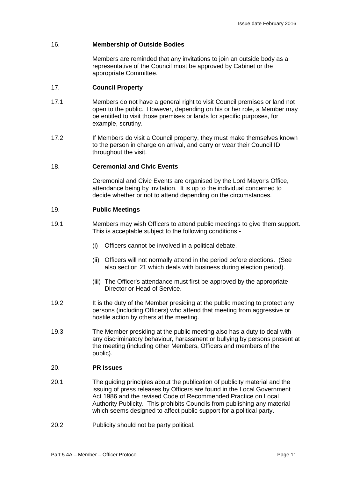## 16. **Membership of Outside Bodies**

Members are reminded that any invitations to join an outside body as a representative of the Council must be approved by Cabinet or the appropriate Committee.

#### 17. **Council Property**

- 17.1 Members do not have a general right to visit Council premises or land not open to the public. However, depending on his or her role, a Member may be entitled to visit those premises or lands for specific purposes, for example, scrutiny.
- 17.2 If Members do visit a Council property, they must make themselves known to the person in charge on arrival, and carry or wear their Council ID throughout the visit.

## 18. **Ceremonial and Civic Events**

Ceremonial and Civic Events are organised by the Lord Mayor's Office, attendance being by invitation. It is up to the individual concerned to decide whether or not to attend depending on the circumstances.

#### 19. **Public Meetings**

- 19.1 Members may wish Officers to attend public meetings to give them support. This is acceptable subject to the following conditions -
	- (i) Officers cannot be involved in a political debate.
	- (ii) Officers will not normally attend in the period before elections. (See also section 21 which deals with business during election period).
	- (iii) The Officer's attendance must first be approved by the appropriate Director or Head of Service.
- 19.2 It is the duty of the Member presiding at the public meeting to protect any persons (including Officers) who attend that meeting from aggressive or hostile action by others at the meeting.
- 19.3 The Member presiding at the public meeting also has a duty to deal with any discriminatory behaviour, harassment or bullying by persons present at the meeting (including other Members, Officers and members of the public).

#### 20. **PR Issues**

- 20.1 The guiding principles about the publication of publicity material and the issuing of press releases by Officers are found in the Local Government Act 1986 and the revised Code of Recommended Practice on Local Authority Publicity. This prohibits Councils from publishing any material which seems designed to affect public support for a political party.
- 20.2 Publicity should not be party political.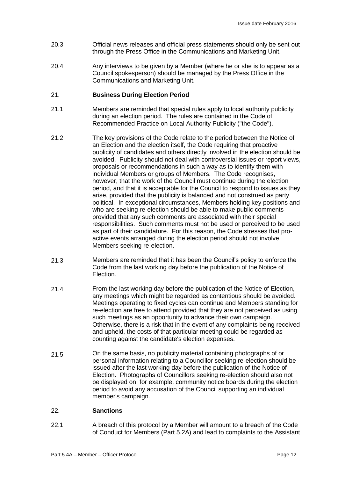- 20.3 Official news releases and official press statements should only be sent out through the Press Office in the Communications and Marketing Unit.
- 20.4 Any interviews to be given by a Member (where he or she is to appear as a Council spokesperson) should be managed by the Press Office in the Communications and Marketing Unit.

#### 21. **Business During Election Period**

- 21.1 Members are reminded that special rules apply to local authority publicity during an election period. The rules are contained in the Code of Recommended Practice on Local Authority Publicity ("the Code").
- 21.2 The key provisions of the Code relate to the period between the Notice of an Election and the election itself, the Code requiring that proactive publicity of candidates and others directly involved in the election should be avoided. Publicity should not deal with controversial issues or report views, proposals or recommendations in such a way as to identify them with individual Members or groups of Members. The Code recognises, however, that the work of the Council must continue during the election period, and that it is acceptable for the Council to respond to issues as they arise, provided that the publicity is balanced and not construed as party political. In exceptional circumstances, Members holding key positions and who are seeking re-election should be able to make public comments provided that any such comments are associated with their special responsibilities. Such comments must not be used or perceived to be used as part of their candidature. For this reason, the Code stresses that proactive events arranged during the election period should not involve Members seeking re-election.
- 21.3 Members are reminded that it has been the Council's policy to enforce the Code from the last working day before the publication of the Notice of Election.
- 21.4 From the last working day before the publication of the Notice of Election, any meetings which might be regarded as contentious should be avoided. Meetings operating to fixed cycles can continue and Members standing for re-election are free to attend provided that they are not perceived as using such meetings as an opportunity to advance their own campaign. Otherwise, there is a risk that in the event of any complaints being received and upheld, the costs of that particular meeting could be regarded as counting against the candidate's election expenses.
- 21.5 On the same basis, no publicity material containing photographs of or personal information relating to a Councillor seeking re-election should be issued after the last working day before the publication of the Notice of Election. Photographs of Councillors seeking re-election should also not be displayed on, for example, community notice boards during the election period to avoid any accusation of the Council supporting an individual member's campaign.

#### 22. **Sanctions**

22.1 A breach of this protocol by a Member will amount to a breach of the Code of Conduct for Members (Part 5.2A) and lead to complaints to the Assistant